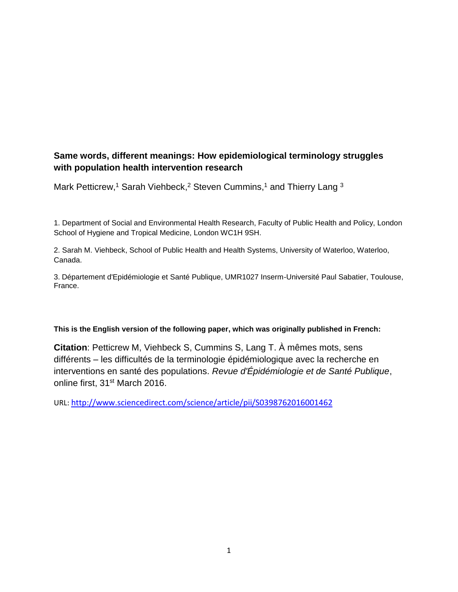# **Same words, different meanings: How epidemiological terminology struggles with population health intervention research**

Mark Petticrew,<sup>1</sup> Sarah Viehbeck,<sup>2</sup> Steven Cummins,<sup>1</sup> and Thierry Lang <sup>3</sup>

1. Department of Social and Environmental Health Research, Faculty of Public Health and Policy, London School of Hygiene and Tropical Medicine, London WC1H 9SH.

2. Sarah M. Viehbeck, School of Public Health and Health Systems, University of Waterloo, Waterloo, Canada.

3. Département d'Epidémiologie et Santé Publique, UMR1027 Inserm-Université Paul Sabatier, Toulouse, France.

**This is the English version of the following paper, which was originally published in French:**

**Citation**: Petticrew M, Viehbeck S, Cummins S, Lang T. À mêmes mots, sens différents – les difficultés de la terminologie épidémiologique avec la recherche en interventions en santé des populations. *[Revue d'Épidémiologie et de Santé Publique](http://www.sciencedirect.com/science/journal/03987620)*, online first, 31st March 2016.

URL: <http://www.sciencedirect.com/science/article/pii/S0398762016001462>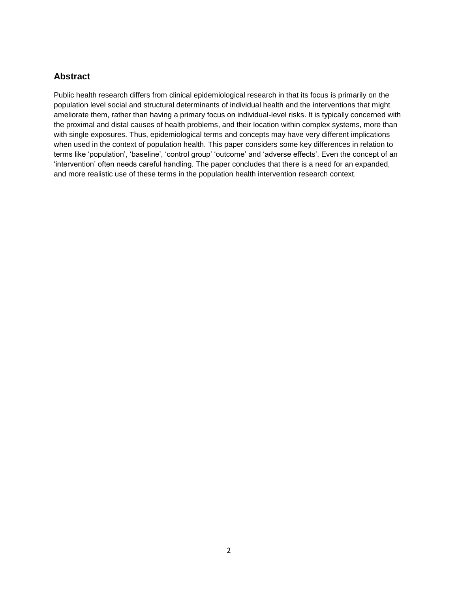### **Abstract**

Public health research differs from clinical epidemiological research in that its focus is primarily on the population level social and structural determinants of individual health and the interventions that might ameliorate them, rather than having a primary focus on individual-level risks. It is typically concerned with the proximal and distal causes of health problems, and their location within complex systems, more than with single exposures. Thus, epidemiological terms and concepts may have very different implications when used in the context of population health. This paper considers some key differences in relation to terms like 'population', 'baseline', 'control group' 'outcome' and 'adverse effects'. Even the concept of an 'intervention' often needs careful handling. The paper concludes that there is a need for an expanded, and more realistic use of these terms in the population health intervention research context.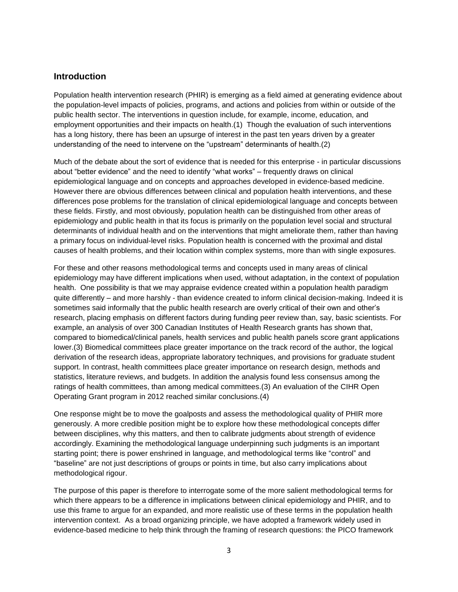### **Introduction**

Population health intervention research (PHIR) is emerging as a field aimed at generating evidence about the population-level impacts of policies, programs, and actions and policies from within or outside of the public health sector. The interventions in question include, for example, income, education, and employment opportunities and their impacts on health.[\(1\)](#page-9-0) Though the evaluation of such interventions has a long history, there has been an upsurge of interest in the past ten years driven by a greater understanding of the need to intervene on the "upstream" determinants of health.[\(2\)](#page-9-1)

Much of the debate about the sort of evidence that is needed for this enterprise - in particular discussions about "better evidence" and the need to identify "what works" – frequently draws on clinical epidemiological language and on concepts and approaches developed in evidence-based medicine. However there are obvious differences between clinical and population health interventions, and these differences pose problems for the translation of clinical epidemiological language and concepts between these fields. Firstly, and most obviously, population health can be distinguished from other areas of epidemiology and public health in that its focus is primarily on the population level social and structural determinants of individual health and on the interventions that might ameliorate them, rather than having a primary focus on individual-level risks. Population health is concerned with the proximal and distal causes of health problems, and their location within complex systems, more than with single exposures.

For these and other reasons methodological terms and concepts used in many areas of clinical epidemiology may have different implications when used, without adaptation, in the context of population health. One possibility is that we may appraise evidence created within a population health paradigm quite differently – and more harshly - than evidence created to inform clinical decision-making. Indeed it is sometimes said informally that the public health research are overly critical of their own and other's research, placing emphasis on different factors during funding peer review than, say, basic scientists. For example, an analysis of over 300 Canadian Institutes of Health Research grants has shown that, compared to biomedical/clinical panels, health services and public health panels score grant applications lower.[\(3\)](#page-9-2) Biomedical committees place greater importance on the track record of the author, the logical derivation of the research ideas, appropriate laboratory techniques, and provisions for graduate student support. In contrast, health committees place greater importance on research design, methods and statistics, literature reviews, and budgets. In addition the analysis found less consensus among the ratings of health committees, than among medical committees.[\(3\)](#page-9-2) An evaluation of the CIHR Open Operating Grant program in 2012 reached similar conclusions.[\(4\)](#page-9-3)

One response might be to move the goalposts and assess the methodological quality of PHIR more generously. A more credible position might be to explore how these methodological concepts differ between disciplines, why this matters, and then to calibrate judgments about strength of evidence accordingly. Examining the methodological language underpinning such judgments is an important starting point; there is power enshrined in language, and methodological terms like "control" and "baseline" are not just descriptions of groups or points in time, but also carry implications about methodological rigour.

The purpose of this paper is therefore to interrogate some of the more salient methodological terms for which there appears to be a difference in implications between clinical epidemiology and PHIR, and to use this frame to argue for an expanded, and more realistic use of these terms in the population health intervention context. As a broad organizing principle, we have adopted a framework widely used in evidence-based medicine to help think through the framing of research questions: the PICO framework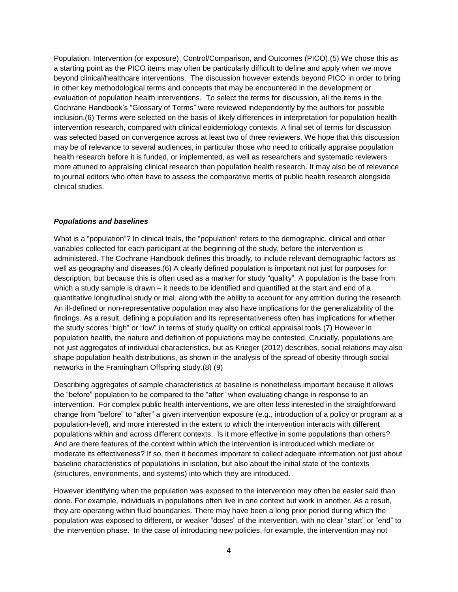Population, Intervention (or exposure), Control/Comparison, and Outcomes (PICO).[\(5\)](#page-9-4) We chose this as a starting point as the PICO items may often be particularly difficult to define and apply when we move beyond clinical/healthcare interventions. The discussion however extends beyond PICO in order to bring in other key methodological terms and concepts that may be encountered in the development or evaluation of population health interventions. To select the terms for discussion, all the items in the Cochrane Handbook's "Glossary of Terms" were reviewed independently by the authors for possible inclusion.[\(6\)](#page-9-5) Terms were selected on the basis of likely differences in interpretation for population health intervention research, compared with clinical epidemiology contexts. A final set of terms for discussion was selected based on convergence across at least two of three reviewers. We hope that this discussion may be of relevance to several audiences, in particular those who need to critically appraise population health research before it is funded, or implemented, as well as researchers and systematic reviewers more attuned to appraising clinical research than population health research. It may also be of relevance to journal editors who often have to assess the comparative merits of public health research alongside clinical studies.

#### *Populations and baselines*

What is a "population"? In clinical trials, the "population" refers to the demographic, clinical and other variables collected for each participant at the beginning of the study, before the intervention is administered. The Cochrane Handbook defines this broadly, to include relevant demographic factors as well as geography and diseases.[\(6\)](#page-9-5) A clearly defined population is important not just for purposes for description, but because this is often used as a marker for study "quality". A population is the base from which a study sample is drawn – it needs to be identified and quantified at the start and end of a quantitative longitudinal study or trial, along with the ability to account for any attrition during the research. An ill-defined or non-representative population may also have implications for the generalizability of the findings. As a result, defining a population and its representativeness often has implications for whether the study scores "high" or "low" in terms of study quality on critical appraisal tools.[\(7\)](#page-9-6) However in population health, the nature and definition of populations may be contested. Crucially, populations are not just aggregates of individual characteristics, but as Krieger (2012) describes, social relations may also shape population health distributions, as shown in the analysis of the spread of obesity through social networks in the Framingham Offspring study.[\(8\)](#page-9-7) [\(9\)](#page-9-8)

Describing aggregates of sample characteristics at baseline is nonetheless important because it allows the "before" population to be compared to the "after" when evaluating change in response to an intervention. For complex public health interventions, we are often less interested in the straightforward change from "before" to "after" a given intervention exposure (e.g., introduction of a policy or program at a population-level), and more interested in the extent to which the intervention interacts with different populations within and across different contexts. Is it more effective in some populations than others? And are there features of the context within which the intervention is introduced which mediate or moderate its effectiveness? If so, then it becomes important to collect adequate information not just about baseline characteristics of populations in isolation, but also about the initial state of the contexts (structures, environments, and systems) into which they are introduced.

However identifying when the population was exposed to the intervention may often be easier said than done. For example, individuals in populations often live in one context but work in another. As a result, they are operating within fluid boundaries. There may have been a long prior period during which the population was exposed to different, or weaker "doses" of the intervention, with no clear "start" or "end" to the intervention phase. In the case of introducing new policies, for example, the intervention may not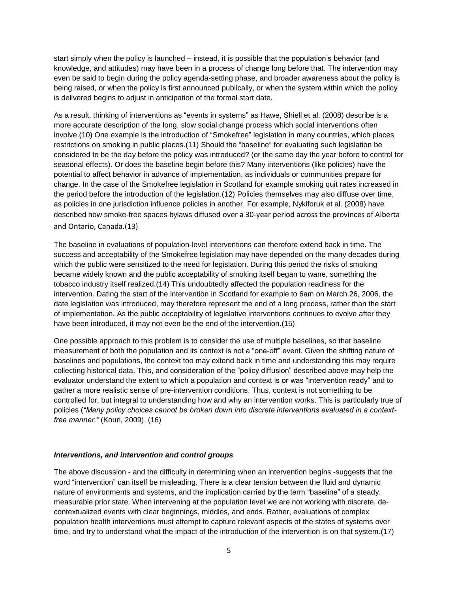start simply when the policy is launched – instead, it is possible that the population's behavior (and knowledge, and attitudes) may have been in a process of change long before that. The intervention may even be said to begin during the policy agenda-setting phase, and broader awareness about the policy is being raised, or when the policy is first announced publically, or when the system within which the policy is delivered begins to adjust in anticipation of the formal start date.

As a result, thinking of interventions as "events in systems" as Hawe, Shiell et al. (2008) describe is a more accurate description of the long, slow social change process which social interventions often involve.[\(10\)](#page-9-9) One example is the introduction of "Smokefree" legislation in many countries, which places restrictions on smoking in public places.[\(11\)](#page-9-10) Should the "baseline" for evaluating such legislation be considered to be the day before the policy was introduced? (or the same day the year before to control for seasonal effects). Or does the baseline begin before this? Many interventions (like policies) have the potential to affect behavior in advance of implementation, as individuals or communities prepare for change. In the case of the Smokefree legislation in Scotland for example smoking quit rates increased in the period before the introduction of the legislation.[\(12\)](#page-9-11) Policies themselves may also diffuse over time, as policies in one jurisdiction influence policies in another. For example, Nykiforuk et al. (2008) have described how smoke-free spaces bylaws diffused over a 30-year period across the provinces of Alberta and Ontario, Canada.[\(13\)](#page-9-12)

The baseline in evaluations of population-level interventions can therefore extend back in time. The success and acceptability of the Smokefree legislation may have depended on the many decades during which the public were sensitized to the need for legislation. During this period the risks of smoking became widely known and the public acceptability of smoking itself began to wane, something the tobacco industry itself realized.[\(14\)](#page-9-13) This undoubtedly affected the population readiness for the intervention. Dating the start of the intervention in Scotland for example to 6am on March 26, 2006, the date legislation was introduced, may therefore represent the end of a long process, rather than the start of implementation. As the public acceptability of legislative interventions continues to evolve after they have been introduced, it may not even be the end of the intervention.[\(15\)](#page-9-14)

One possible approach to this problem is to consider the use of multiple baselines, so that baseline measurement of both the population and its context is not a "one-off" event. Given the shifting nature of baselines and populations, the context too may extend back in time and understanding this may require collecting historical data. This, and consideration of the "policy diffusion" described above may help the evaluator understand the extent to which a population and context is or was "intervention ready" and to gather a more realistic sense of pre-intervention conditions. Thu*s*, context is not something to be controlled for, but integral to understanding how and why an intervention works. This is particularly true of policies (*"Many policy choices cannot be broken down into discrete interventions evaluated in a contextfree manner."* (Kouri, 2009). [\(16\)](#page-9-15)

#### *Interventions, and intervention and control groups*

The above discussion - and the difficulty in determining when an intervention begins -suggests that the word "intervention" can itself be misleading. There is a clear tension between the fluid and dynamic nature of environments and systems, and the implication carried by the term "baseline" of a steady, measurable prior state. When intervening at the population level we are not working with discrete, decontextualized events with clear beginnings, middles, and ends. Rather, evaluations of complex population health interventions must attempt to capture relevant aspects of the states of systems over time, and try to understand what the impact of the introduction of the intervention is on that system.[\(17\)](#page-9-16)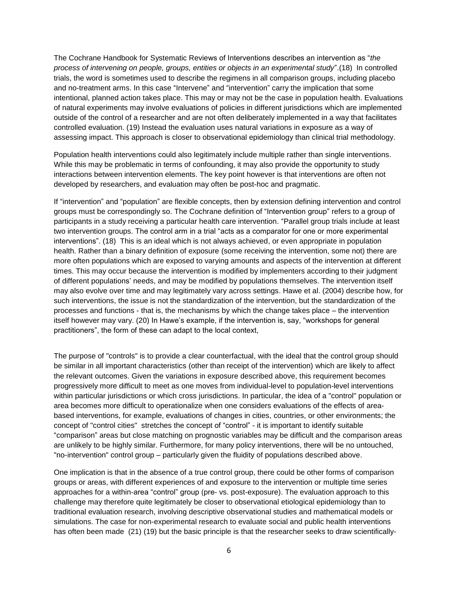The Cochrane Handbook for Systematic Reviews of Interventions describes an intervention as "*the process of intervening on people, groups, entities or objects in an experimental study*".[\(18\)](#page-9-17) In controlled trials, the word is sometimes used to describe the regimens in all comparison groups, including placebo and no-treatment arms. In this case "Intervene" and "intervention" carry the implication that some intentional, planned action takes place. This may or may not be the case in population health. Evaluations of natural experiments may involve evaluations of policies in different jurisdictions which are implemented outside of the control of a researcher and are not often deliberately implemented in a way that facilitates controlled evaluation. [\(19\)](#page-10-0) Instead the evaluation uses natural variations in exposure as a way of assessing impact. This approach is closer to observational epidemiology than clinical trial methodology.

Population health interventions could also legitimately include multiple rather than single interventions. While this may be problematic in terms of confounding, it may also provide the opportunity to study interactions between intervention elements. The key point however is that interventions are often not developed by researchers, and evaluation may often be post-hoc and pragmatic.

If "intervention" and "population" are flexible concepts, then by extension defining intervention and control groups must be correspondingly so. The Cochrane definition of "Intervention group" refers to a group of participants in a study receiving a particular health care intervention. "Parallel group trials include at least two intervention groups. The control arm in a trial "acts as a comparator for one or more experimental interventions". [\(18\)](#page-9-17) This is an ideal which is not always achieved, or even appropriate in population health. Rather than a binary definition of exposure (some receiving the intervention, some not) there are more often populations which are exposed to varying amounts and aspects of the intervention at different times. This may occur because the intervention is modified by implementers according to their judgment of different populations' needs, and may be modified by populations themselves. The intervention itself may also evolve over time and may legitimately vary across settings. Hawe et al. (2004) describe how, for such interventions, the issue is not the standardization of the intervention, but the standardization of the processes and functions - that is, the mechanisms by which the change takes place – the intervention itself however may vary. [\(20\)](#page-10-1) In Hawe's example, if the intervention is, say, "workshops for general practitioners", the form of these can adapt to the local context,

The purpose of "controls" is to provide a clear counterfactual, with the ideal that the control group should be similar in all important characteristics (other than receipt of the intervention) which are likely to affect the relevant outcomes. Given the variations in exposure described above, this requirement becomes progressively more difficult to meet as one moves from individual-level to population-level interventions within particular jurisdictions or which cross jurisdictions. In particular, the idea of a "control" population or area becomes more difficult to operationalize when one considers evaluations of the effects of areabased interventions, for example, evaluations of changes in cities, countries, or other environments; the concept of "control cities" stretches the concept of "control" - it is important to identify suitable "comparison" areas but close matching on prognostic variables may be difficult and the comparison areas are unlikely to be highly similar. Furthermore, for many policy interventions, there will be no untouched, "no-intervention" control group – particularly given the fluidity of populations described above.

One implication is that in the absence of a true control group, there could be other forms of comparison groups or areas, with different experiences of and exposure to the intervention or multiple time series approaches for a within-area "control" group (pre- vs. post-exposure). The evaluation approach to this challenge may therefore quite legitimately be closer to observational etiological epidemiology than to traditional evaluation research, involving descriptive observational studies and mathematical models or simulations. The case for non-experimental research to evaluate social and public health interventions has often been made [\(21\)](#page-10-2) [\(19\)](#page-10-0) but the basic principle is that the researcher seeks to draw scientifically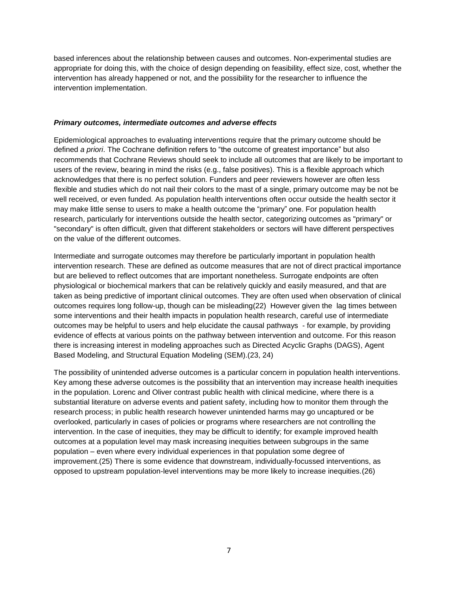based inferences about the relationship between causes and outcomes. Non-experimental studies are appropriate for doing this, with the choice of design depending on feasibility, effect size, cost, whether the intervention has already happened or not, and the possibility for the researcher to influence the intervention implementation.

#### *Primary outcomes, intermediate outcomes and adverse effects*

Epidemiological approaches to evaluating interventions require that the primary outcome should be defined *a priori*. The Cochrane definition refers to "the outcome of greatest importance" but also recommends that Cochrane Reviews should seek to include all outcomes that are likely to be important to users of the review, bearing in mind the risks (e.g., false positives). This is a flexible approach which acknowledges that there is no perfect solution. Funders and peer reviewers however are often less flexible and studies which do not nail their colors to the mast of a single, primary outcome may be not be well received, or even funded. As population health interventions often occur outside the health sector it may make little sense to users to make a health outcome the "primary" one. For population health research, particularly for interventions outside the health sector, categorizing outcomes as "primary" or "secondary" is often difficult, given that different stakeholders or sectors will have different perspectives on the value of the different outcomes.

Intermediate and surrogate outcomes may therefore be particularly important in population health intervention research. These are defined as outcome measures that are not of direct practical importance but are believed to reflect outcomes that are important nonetheless. Surrogate endpoints are often physiological or biochemical markers that can be relatively quickly and easily measured, and that are taken as being predictive of important clinical outcomes. They are often used when observation of clinical outcomes requires long follow-up, though can be misleading[\(22\)](#page-10-3) However given the lag times between some interventions and their health impacts in population health research, careful use of intermediate outcomes may be helpful to users and help elucidate the causal pathways - for example, by providing evidence of effects at various points on the pathway between intervention and outcome. For this reason there is increasing interest in modeling approaches such as Directed Acyclic Graphs (DAGS), Agent Based Modeling, and Structural Equation Modeling (SEM).[\(23,](#page-10-4) [24\)](#page-10-5)

The possibility of unintended adverse outcomes is a particular concern in population health interventions. Key among these adverse outcomes is the possibility that an intervention may increase health inequities in the population. Lorenc and Oliver contrast public health with clinical medicine, where there is a substantial literature on adverse events and patient safety, including how to monitor them through the research process; in public health research however unintended harms may go uncaptured or be overlooked, particularly in cases of policies or programs where researchers are not controlling the intervention. In the case of inequities, they may be difficult to identify; for example improved health outcomes at a population level may mask increasing inequities between subgroups in the same population – even where every individual experiences in that population some degree of improvement.[\(25\)](#page-10-6) There is some evidence that downstream, individually-focussed interventions, as opposed to upstream population-level interventions may be more likely to increase inequities.[\(26\)](#page-10-7)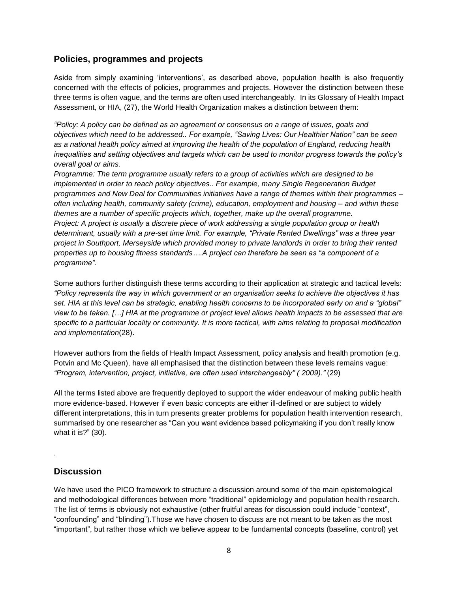### **Policies, programmes and projects**

Aside from simply examining 'interventions', as described above, population health is also frequently concerned with the effects of policies, programmes and projects. However the distinction between these three terms is often vague, and the terms are often used interchangeably. In its Glossary of Health Impact Assessment, or HIA, [\(27\)](#page-10-8), the World Health Organization makes a distinction between them:

*"Policy: A policy can be defined as an agreement or consensus on a range of issues, goals and objectives which need to be addressed.. For example, "Saving Lives: Our Healthier Nation" can be seen as a national health policy aimed at improving the health of the population of England, reducing health inequalities and setting objectives and targets which can be used to monitor progress towards the policy's overall goal or aims.*

*Programme: The term programme usually refers to a group of activities which are designed to be implemented in order to reach policy objectives.. For example, many Single Regeneration Budget programmes and New Deal for Communities initiatives have a range of themes within their programmes – often including health, community safety (crime), education, employment and housing – and within these themes are a number of specific projects which, together, make up the overall programme. Project: A project is usually a discrete piece of work addressing a single population group or health determinant, usually with a pre-set time limit. For example, "Private Rented Dwellings" was a three year project in Southport, Merseyside which provided money to private landlords in order to bring their rented properties up to housing fitness standards….A project can therefore be seen as "a component of a programme".*

Some authors further distinguish these terms according to their application at strategic and tactical levels: *"Policy represents the way in which government or an organisation seeks to achieve the objectives it has set. HIA at this level can be strategic, enabling health concerns to be incorporated early on and a "global" view to be taken. […] HIA at the programme or project level allows health impacts to be assessed that are specific to a particular locality or community. It is more tactical, with aims relating to proposal modification and implementation*[\(28\)](#page-10-9).

However authors from the fields of Health Impact Assessment, policy analysis and health promotion (e.g. Potvin and Mc Queen), have all emphasised that the distinction between these levels remains vague: *"Program, intervention, project, initiative, are often used interchangeably" ( 2009)."* [\(29\)](#page-10-10)

All the terms listed above are frequently deployed to support the wider endeavour of making public health more evidence-based. However if even basic concepts are either ill-defined or are subject to widely different interpretations, this in turn presents greater problems for population health intervention research, summarised by one researcher as ["Can you want evidence based policymaking if you don't really know](https://paulcairney.wordpress.com/2015/02/02/defining-policy-policymakers-evidence-ebpm/)  [what it](https://paulcairney.wordpress.com/2015/02/02/defining-policy-policymakers-evidence-ebpm/) is?" [\(30\)](#page-10-11).

### **Discussion**

.

We have used the PICO framework to structure a discussion around some of the main epistemological and methodological differences between more "traditional" epidemiology and population health research. The list of terms is obviously not exhaustive (other fruitful areas for discussion could include "context", "confounding" and "blinding").Those we have chosen to discuss are not meant to be taken as the most "important", but rather those which we believe appear to be fundamental concepts (baseline, control) yet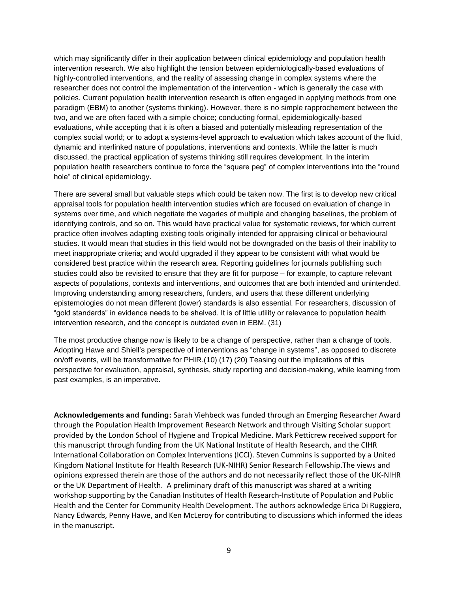which may significantly differ in their application between clinical epidemiology and population health intervention research. We also highlight the tension between epidemiologically-based evaluations of highly-controlled interventions, and the reality of assessing change in complex systems where the researcher does not control the implementation of the intervention - which is generally the case with policies. Current population health intervention research is often engaged in applying methods from one paradigm (EBM) to another (systems thinking). However, there is no simple rapprochement between the two, and we are often faced with a simple choice; conducting formal, epidemiologically-based evaluations, while accepting that it is often a biased and potentially misleading representation of the complex social world; or to adopt a systems-level approach to evaluation which takes account of the fluid, dynamic and interlinked nature of populations, interventions and contexts. While the latter is much discussed, the practical application of systems thinking still requires development. In the interim population health researchers continue to force the "square peg" of complex interventions into the "round hole" of clinical epidemiology.

There are several small but valuable steps which could be taken now. The first is to develop new critical appraisal tools for population health intervention studies which are focused on evaluation of change in systems over time, and which negotiate the vagaries of multiple and changing baselines, the problem of identifying controls, and so on. This would have practical value for systematic reviews, for which current practice often involves adapting existing tools originally intended for appraising clinical or behavioural studies. It would mean that studies in this field would not be downgraded on the basis of their inability to meet inappropriate criteria; and would upgraded if they appear to be consistent with what would be considered best practice within the research area. Reporting guidelines for journals publishing such studies could also be revisited to ensure that they are fit for purpose – for example, to capture relevant aspects of populations, contexts and interventions, and outcomes that are both intended and unintended. Improving understanding among researchers, funders, and users that these different underlying epistemologies do not mean different (lower) standards is also essential. For researchers, discussion of "gold standards" in evidence needs to be shelved. It is of little utility or relevance to population health intervention research, and the concept is outdated even in EBM. [\(31\)](#page-10-12)

The most productive change now is likely to be a change of perspective, rather than a change of tools. Adopting Hawe and Shiell's perspective of interventions as "change in systems", as opposed to discrete on/off events, will be transformative for PHIR.[\(10\)](#page-9-9) [\(17\)](#page-9-16) [\(20\)](#page-10-1) Teasing out the implications of this perspective for evaluation, appraisal, synthesis, study reporting and decision-making, while learning from past examples, is an imperative.

**Acknowledgements and funding:** Sarah Viehbeck was funded through an Emerging Researcher Award through the Population Health Improvement Research Network and through Visiting Scholar support provided by the London School of Hygiene and Tropical Medicine. Mark Petticrew received support for this manuscript through funding from the UK National Institute of Health Research, and the CIHR International Collaboration on Complex Interventions (ICCI). Steven Cummins is supported by a United Kingdom National Institute for Health Research (UK-NIHR) Senior Research Fellowship.The views and opinions expressed therein are those of the authors and do not necessarily reflect those of the UK-NIHR or the UK Department of Health. A preliminary draft of this manuscript was shared at a writing workshop supporting by the Canadian Institutes of Health Research-Institute of Population and Public Health and the Center for Community Health Development. The authors acknowledge Erica Di Ruggiero, Nancy Edwards, Penny Hawe, and Ken McLeroy for contributing to discussions which informed the ideas in the manuscript.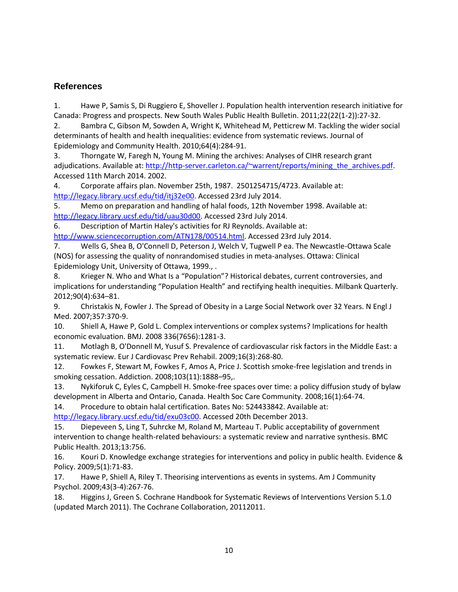## **References**

<span id="page-9-0"></span>1. Hawe P, Samis S, Di Ruggiero E, Shoveller J. Population health intervention research initiative for Canada: Progress and prospects. New South Wales Public Health Bulletin. 2011;22(22(1-2)):27-32.

<span id="page-9-1"></span>2. Bambra C, Gibson M, Sowden A, Wright K, Whitehead M, Petticrew M. Tackling the wider social determinants of health and health inequalities: evidence from systematic reviews. Journal of Epidemiology and Community Health. 2010;64(4):284-91.

<span id="page-9-2"></span>3. Thorngate W, Faregh N, Young M. Mining the archives: Analyses of CIHR research grant adjudications. Available at[: http://http-server.carleton.ca/~warrent/reports/mining\\_the\\_archives.pdf.](http://http-server.carleton.ca/~warrent/reports/mining_the_archives.pdf) Accessed 11th March 2014. 2002.

<span id="page-9-3"></span>4. Corporate affairs plan. November 25th, 1987. 2501254715/4723. Available at: [http://legacy.library.ucsf.edu/tid/itj32e00.](http://legacy.library.ucsf.edu/tid/itj32e00) Accessed 23rd July 2014.

<span id="page-9-4"></span>5. Memo on preparation and handling of halal foods, 12th November 1998. Available at: [http://legacy.library.ucsf.edu/tid/uau30d00.](http://legacy.library.ucsf.edu/tid/uau30d00) Accessed 23rd July 2014.

<span id="page-9-5"></span>6. Description of Martin Haley's activities for RJ Reynolds. Available at:

[http://www.sciencecorruption.com/ATN178/00514.html.](http://www.sciencecorruption.com/ATN178/00514.html) Accessed 23rd July 2014.

<span id="page-9-6"></span>7. Wells G, Shea B, O'Connell D, Peterson J, Welch V, Tugwell P ea. The Newcastle-Ottawa Scale (NOS) for assessing the quality of nonrandomised studies in meta-analyses. Ottawa: Clinical Epidemiology Unit, University of Ottawa, 1999., .

<span id="page-9-7"></span>8. Krieger N. Who and What Is a "Population"? Historical debates, current controversies, and implications for understanding "Population Health" and rectifying health inequities. Milbank Quarterly. 2012;90(4):634–81.

<span id="page-9-8"></span>9. Christakis N, Fowler J. The Spread of Obesity in a Large Social Network over 32 Years. N Engl J Med. 2007;357:370-9.

<span id="page-9-9"></span>10. Shiell A, Hawe P, Gold L. Complex interventions or complex systems? Implications for health economic evaluation. BMJ. 2008 336(7656):1281-3.

<span id="page-9-10"></span>11. Motlagh B, O'Donnell M, Yusuf S. Prevalence of cardiovascular risk factors in the Middle East: a systematic review. Eur J Cardiovasc Prev Rehabil. 2009;16(3):268-80.

<span id="page-9-11"></span>12. Fowkes F, Stewart M, Fowkes F, Amos A, Price J. Scottish smoke-free legislation and trends in smoking cessation. Addiction. 2008;103(11):1888–95,.

<span id="page-9-12"></span>13. Nykiforuk C, Eyles C, Campbell H. Smoke-free spaces over time: a policy diffusion study of bylaw development in Alberta and Ontario, Canada. Health Soc Care Community. 2008;16(1):64-74.

<span id="page-9-13"></span>14. Procedure to obtain halal certification. Bates No: 524433842. Available at:

[http://legacy.library.ucsf.edu/tid/exu03c00.](http://legacy.library.ucsf.edu/tid/exu03c00) Accessed 20th December 2013.

<span id="page-9-14"></span>15. Diepeveen S, Ling T, Suhrcke M, Roland M, Marteau T. Public acceptability of government intervention to change health-related behaviours: a systematic review and narrative synthesis. BMC Public Health. 2013;13:756.

<span id="page-9-15"></span>16. Kouri D. Knowledge exchange strategies for interventions and policy in public health. Evidence & Policy. 2009;5(1):71-83.

<span id="page-9-16"></span>17. Hawe P, Shiell A, Riley T. Theorising interventions as events in systems. Am J Community Psychol. 2009;43(3-4):267-76.

<span id="page-9-17"></span>18. Higgins J, Green S. Cochrane Handbook for Systematic Reviews of Interventions Version 5.1.0 (updated March 2011). The Cochrane Collaboration, 20112011.